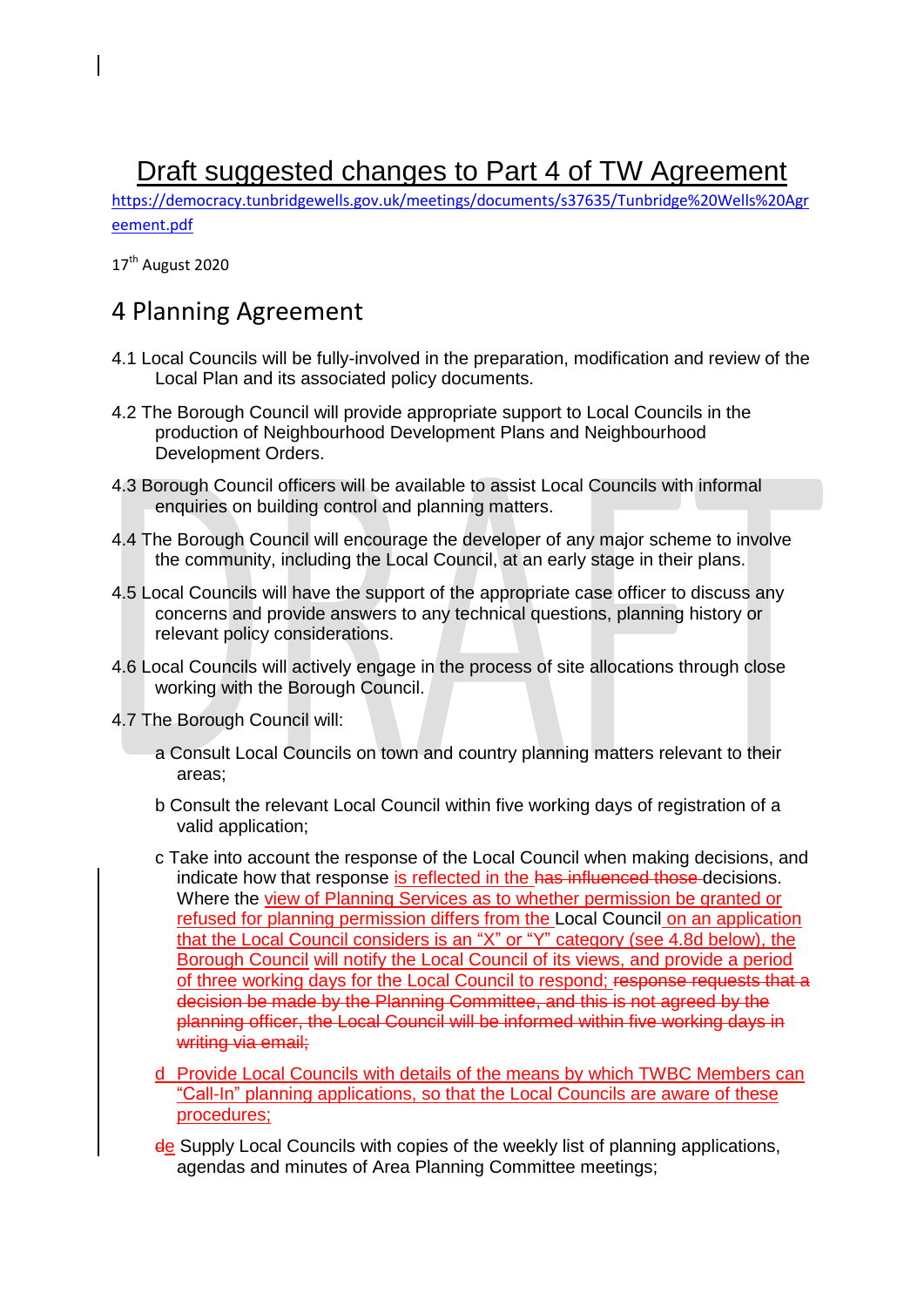## Draft suggested changes to Part 4 of TW Agreement

[https://democracy.tunbridgewells.gov.uk/meetings/documents/s37635/Tunbridge%20Wells%20Agr](https://democracy.tunbridgewells.gov.uk/meetings/documents/s37635/Tunbridge%20Wells%20Agreement.pdf) [eement.pdf](https://democracy.tunbridgewells.gov.uk/meetings/documents/s37635/Tunbridge%20Wells%20Agreement.pdf)

17<sup>th</sup> August 2020

## 4 Planning Agreement

- 4.1 Local Councils will be fully-involved in the preparation, modification and review of the Local Plan and its associated policy documents.
- 4.2 The Borough Council will provide appropriate support to Local Councils in the production of Neighbourhood Development Plans and Neighbourhood Development Orders.
- 4.3 Borough Council officers will be available to assist Local Councils with informal enquiries on building control and planning matters.
- 4.4 The Borough Council will encourage the developer of any major scheme to involve the community, including the Local Council, at an early stage in their plans.
- 4.5 Local Councils will have the support of the appropriate case officer to discuss any concerns and provide answers to any technical questions, planning history or relevant policy considerations.
- 4.6 Local Councils will actively engage in the process of site allocations through close working with the Borough Council.
- 4.7 The Borough Council will:
	- a Consult Local Councils on town and country planning matters relevant to their areas;
	- b Consult the relevant Local Council within five working days of registration of a valid application;
	- c Take into account the response of the Local Council when making decisions, and indicate how that response is reflected in the has influenced those decisions. Where the view of Planning Services as to whether permission be granted or refused for planning permission differs from the Local Council on an application that the Local Council considers is an "X" or "Y" category (see 4.8d below), the Borough Council will notify the Local Council of its views, and provide a period of three working days for the Local Council to respond; response requests that a decision be made by the Planning Committee, and this is not agreed by the planning officer, the Local Council will be informed within five working days in writing via email;
	- d Provide Local Councils with details of the means by which TWBC Members can "Call-In" planning applications, so that the Local Councils are aware of these procedures;
	- de Supply Local Councils with copies of the weekly list of planning applications, agendas and minutes of Area Planning Committee meetings;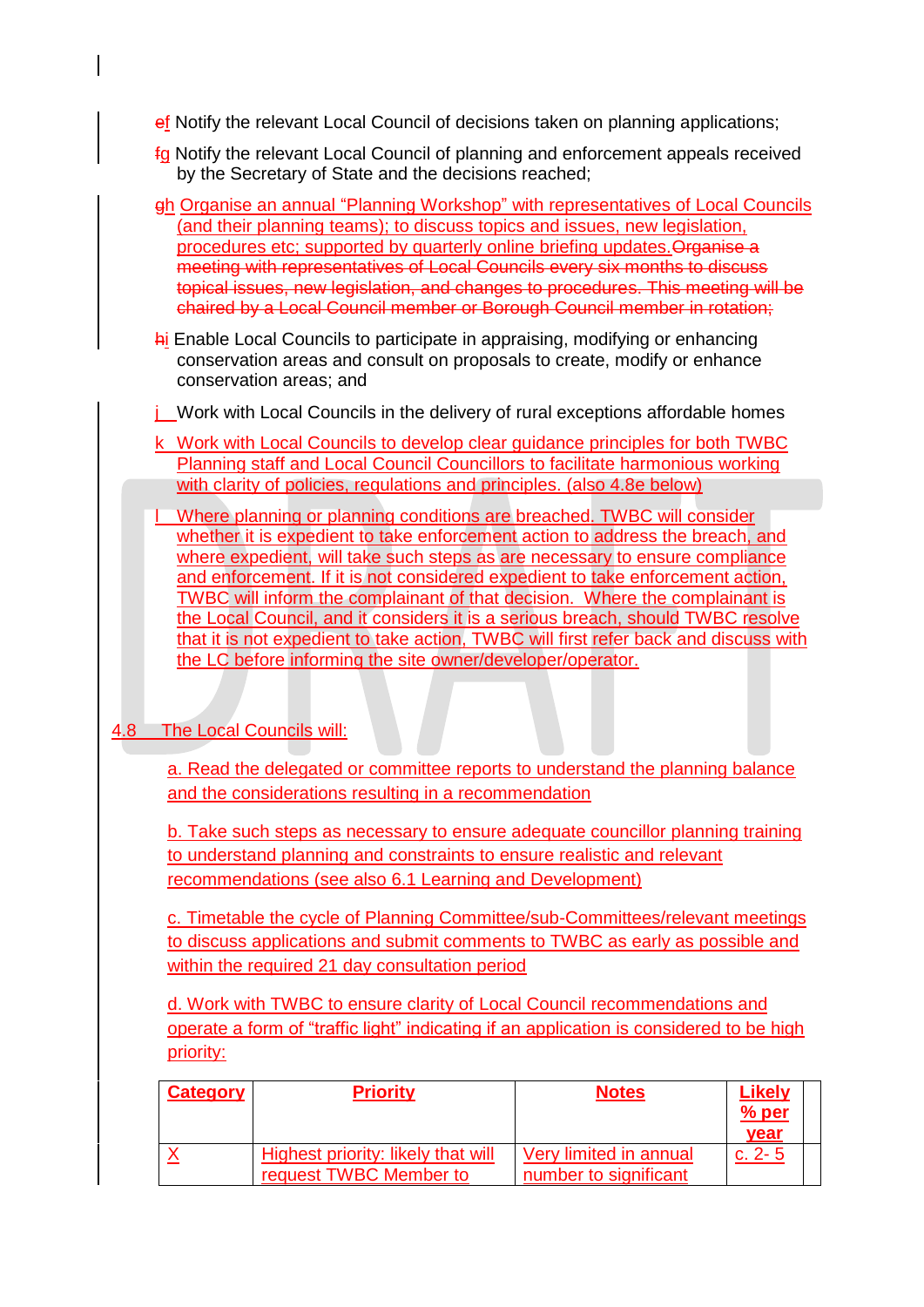ef Notify the relevant Local Council of decisions taken on planning applications;

- fg Notify the relevant Local Council of planning and enforcement appeals received by the Secretary of State and the decisions reached;
- gh Organise an annual "Planning Workshop" with representatives of Local Councils (and their planning teams); to discuss topics and issues, new legislation, procedures etc; supported by quarterly online briefing updates. Organise a meeting with representatives of Local Councils every six months to discuss topical issues, new legislation, and changes to procedures. This meeting will be chaired by a Local Council member or Borough Council member in rotation;
- hi Enable Local Councils to participate in appraising, modifying or enhancing conservation areas and consult on proposals to create, modify or enhance conservation areas; and
- $i$  Work with Local Councils in the delivery of rural exceptions affordable homes
- k Work with Local Councils to develop clear guidance principles for both TWBC Planning staff and Local Council Councillors to facilitate harmonious working with clarity of policies, regulations and principles. (also 4.8e below)
- Where planning or planning conditions are breached. TWBC will consider whether it is expedient to take enforcement action to address the breach, and where expedient, will take such steps as are necessary to ensure compliance and enforcement. If it is not considered expedient to take enforcement action, TWBC will inform the complainant of that decision. Where the complainant is the Local Council, and it considers it is a serious breach, should TWBC resolve that it is not expedient to take action, TWBC will first refer back and discuss with the LC before informing the site owner/developer/operator.

## 4.8 The Local Councils will:

a. Read the delegated or committee reports to understand the planning balance and the considerations resulting in a recommendation

b. Take such steps as necessary to ensure adequate councillor planning training to understand planning and constraints to ensure realistic and relevant recommendations (see also 6.1 Learning and Development)

c. Timetable the cycle of Planning Committee/sub-Committees/relevant meetings to discuss applications and submit comments to TWBC as early as possible and within the required 21 day consultation period

d. Work with TWBC to ensure clarity of Local Council recommendations and operate a form of "traffic light" indicating if an application is considered to be high priority:

| <b>Category</b> | <b>Priority</b>                                                     | <b>Notes</b>                                    | Likely<br>$%$ per<br>vear |
|-----------------|---------------------------------------------------------------------|-------------------------------------------------|---------------------------|
|                 | <b>Highest priority: likely that will</b><br>request TWBC Member to | Very limited in annual<br>number to significant | c. $2 - 5$                |